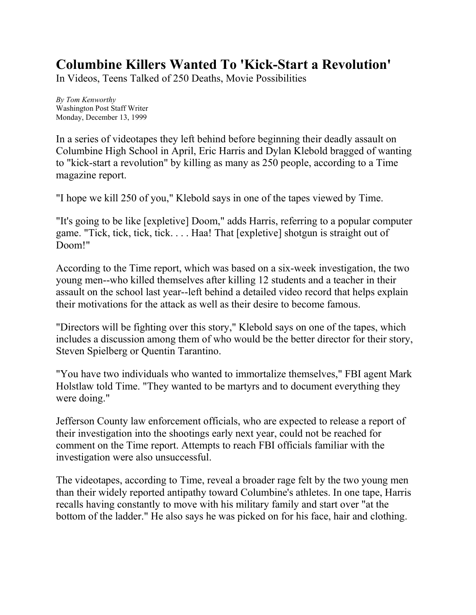## **Columbine Killers Wanted To 'Kick-Start a Revolution'**

In Videos, Teens Talked of 250 Deaths, Movie Possibilities

*By Tom Kenworthy* Washington Post Staff Writer Monday, December 13, 1999

In a series of videotapes they left behind before beginning their deadly assault on Columbine High School in April, Eric Harris and Dylan Klebold bragged of wanting to "kick-start a revolution" by killing as many as 250 people, according to a Time magazine report.

"I hope we kill 250 of you," Klebold says in one of the tapes viewed by Time.

"It's going to be like [expletive] Doom," adds Harris, referring to a popular computer game. "Tick, tick, tick, tick. . . . Haa! That [expletive] shotgun is straight out of Doom!"

According to the Time report, which was based on a six-week investigation, the two young men--who killed themselves after killing 12 students and a teacher in their assault on the school last year--left behind a detailed video record that helps explain their motivations for the attack as well as their desire to become famous.

"Directors will be fighting over this story," Klebold says on one of the tapes, which includes a discussion among them of who would be the better director for their story, Steven Spielberg or Quentin Tarantino.

"You have two individuals who wanted to immortalize themselves," FBI agent Mark Holstlaw told Time. "They wanted to be martyrs and to document everything they were doing."

Jefferson County law enforcement officials, who are expected to release a report of their investigation into the shootings early next year, could not be reached for comment on the Time report. Attempts to reach FBI officials familiar with the investigation were also unsuccessful.

The videotapes, according to Time, reveal a broader rage felt by the two young men than their widely reported antipathy toward Columbine's athletes. In one tape, Harris recalls having constantly to move with his military family and start over "at the bottom of the ladder." He also says he was picked on for his face, hair and clothing.